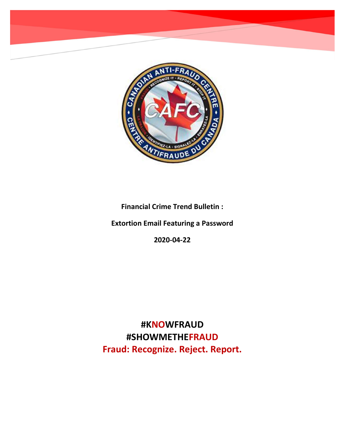

Financial Crime Trend Bulletin :

Extortion Email Featuring a Password

2020-04-22

#KNOWFRAUD #SHOWMETHEFRAUD Fraud: Recognize. Reject. Report.